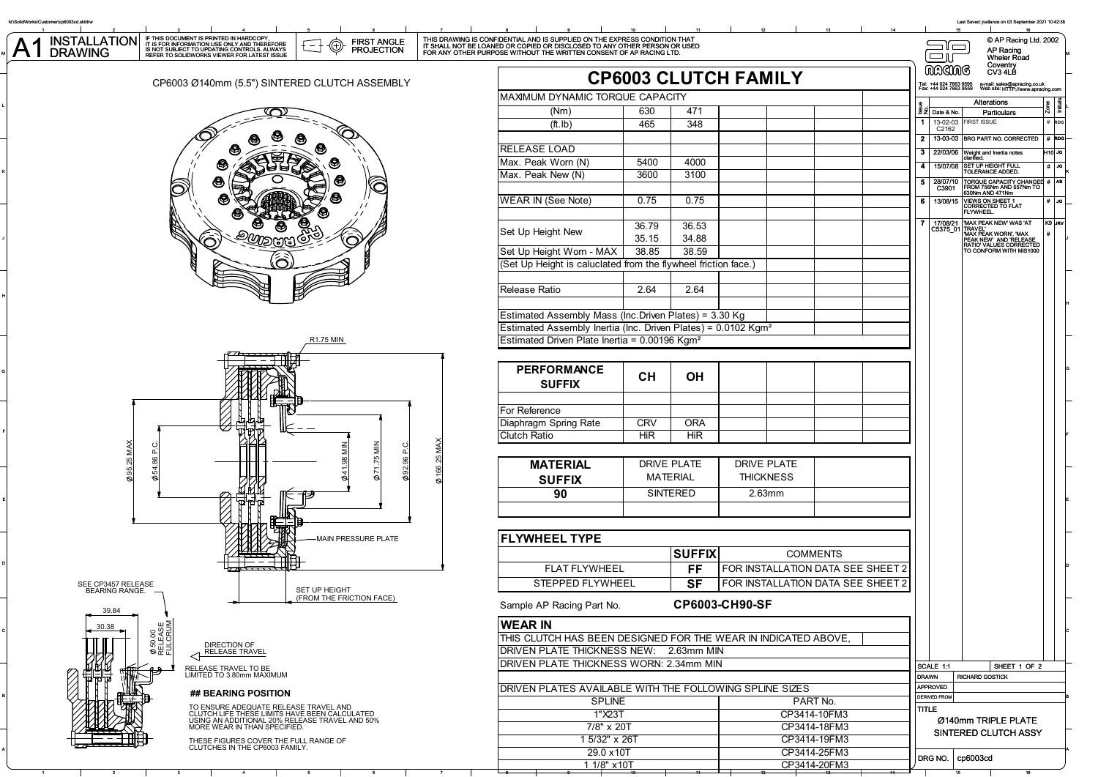

A

B

C

F

J

K

L